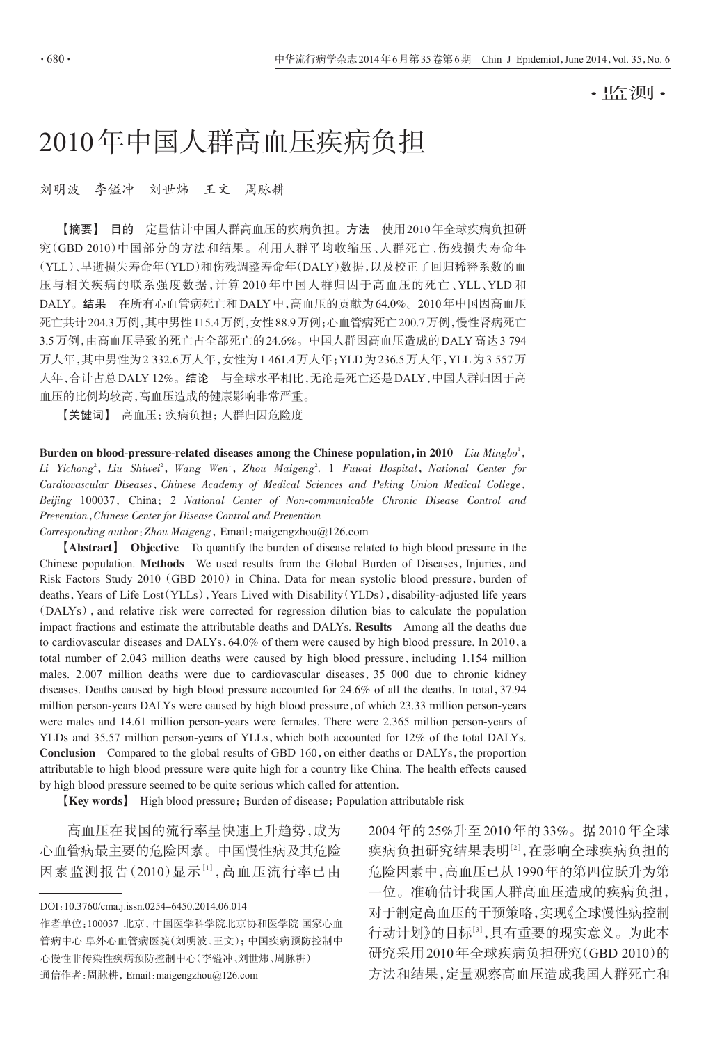·监测·

# 2010年中国人群高血压疾病负担

# 刘明波 李镒冲 刘世炜 王文 周脉耕

【摘要】 目的 定量估计中国人群高血压的疾病负担。方法 使用2010年全球疾病负担研 究(GBD 2010)中国部分的方法和结果。利用人群平均收缩压、人群死亡、伤残损失寿命年 (YLL)、早逝损失寿命年(YLD)和伤残调整寿命年(DALY)数据,以及校正了回归稀释系数的血 压与相关疾病的联系强度数据,计算 2010 年中国人群归因于高血压的死亡、YLL、YLD 和 DALY。结果 在所有心血管病死亡和DALY中,高血压的贡献为64.0%。2010年中国因高血压 死亡共计204.3万例,其中男性115.4万例,女性88.9万例;心血管病死亡200.7万例,慢性肾病死亡 3.5万例,由高血压导致的死亡占全部死亡的24.6%。中国人群因高血压造成的DALY高达3 794 万人年,其中男性为2 332.6万人年,女性为1 461.4万人年;YLD为236.5万人年,YLL为3 557万 人年,合计占总DALY 12%。结论 与全球水平相比,无论是死亡还是DALY,中国人群归因于高 血压的比例均较高,高血压造成的健康影响非常严重。

【关键词】 高血压;疾病负担;人群归因危险度

Burden on blood-pressure-related diseases among the Chinese population, in 2010 Liu Mingbo<sup>1</sup>, Li Yichong<sup>2</sup>, Liu Shiwei<sup>2</sup>, Wang Wen<sup>1</sup>, Zhou Maigeng<sup>2</sup>. 1 Fuwai Hospital, National Center for Cardiovascular Diseases,Chinese Academy of Medical Sciences and Peking Union Medical College, Beijing 100037, China; 2 National Center of Non-communicable Chronic Disease Control and Prevention,Chinese Center for Disease Control and Prevention

Corresponding author:Zhou Maigeng,Email:maigengzhou@126.com

【Abstract】 Objective To quantify the burden of disease related to high blood pressure in the Chinese population. Methods We used results from the Global Burden of Diseases, Injuries, and Risk Factors Study 2010 (GBD 2010) in China. Data for mean systolic blood pressure, burden of deaths, Years of Life Lost(YLLs), Years Lived with Disability(YLDs), disability-adjusted life years (DALYs), and relative risk were corrected for regression dilution bias to calculate the population impact fractions and estimate the attributable deaths and DALYs. Results Among all the deaths due to cardiovascular diseases and DALYs, 64.0% of them were caused by high blood pressure. In 2010, a total number of 2.043 million deaths were caused by high blood pressure, including 1.154 million males. 2.007 million deaths were due to cardiovascular diseases,35 000 due to chronic kidney diseases. Deaths caused by high blood pressure accounted for 24.6% of all the deaths. In total,37.94 million person-years DALYs were caused by high blood pressure, of which 23.33 million person-years were males and 14.61 million person-years were females. There were 2.365 million person-years of YLDs and 35.57 million person-years of YLLs, which both accounted for 12% of the total DALYs. Conclusion Compared to the global results of GBD 160, on either deaths or DALYs, the proportion attributable to high blood pressure were quite high for a country like China. The health effects caused by high blood pressure seemed to be quite serious which called for attention.

**[Key words]** High blood pressure; Burden of disease; Population attributable risk

高血压在我国的流行率呈快速上升趋势,成为 心血管病最主要的危险因素。中国慢性病及其危险 因素监测报告(2010)显示[<sup>1</sup>],高血压流行率已由

DOI:10.3760/cma.j.issn.0254-6450.2014.06.014

作者单位:100037 北京,中国医学科学院北京协和医学院 国家心血 管病中心 阜外心血管病医院(刘明波、王文);中国疾病预防控制中 心慢性非传染性疾病预防控制中心(李镒冲、刘世炜、周脉耕)

通信作者:周脉耕,Email:maigengzhou@126.com

2004年的25%升至2010年的33%。据2010年全球 疾病负担研究结果表明[2],在影响全球疾病负担的 危险因素中,高血压已从1990年的第四位跃升为第 一位。准确估计我国人群高血压造成的疾病负担, 对于制定高血压的干预策略,实现《全球慢性病控制 行动计划》的目标[<sup>3</sup>] ,具有重要的现实意义。为此本 研究采用2010年全球疾病负担研究(GBD 2010)的 方法和结果,定量观察高血压造成我国人群死亡和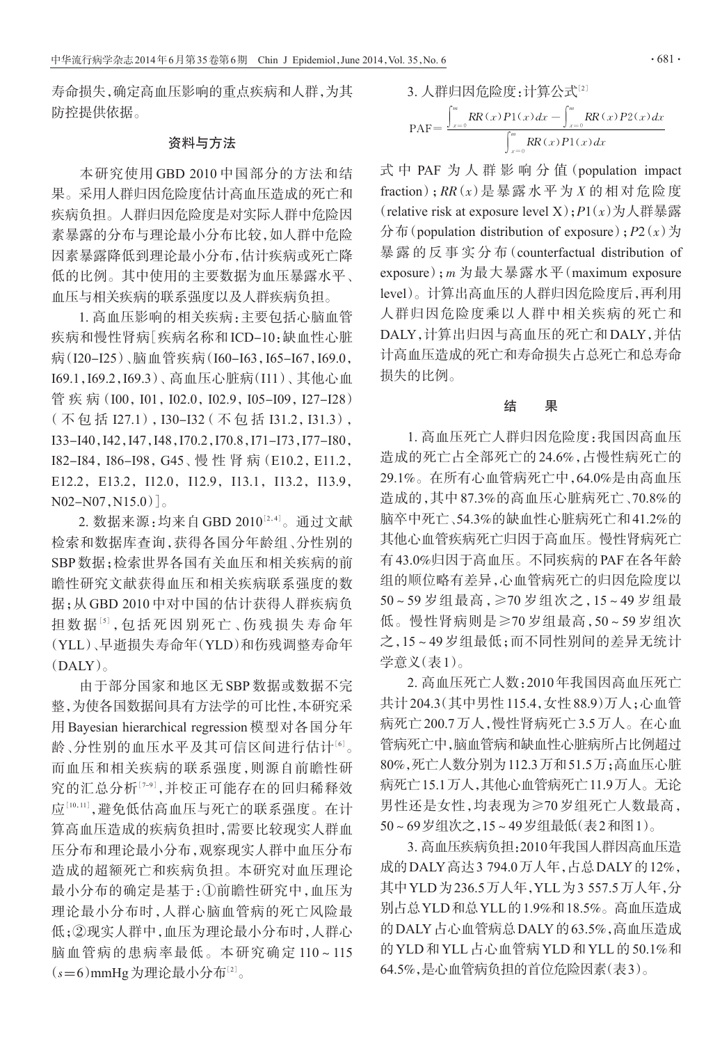寿命损失,确定高血压影响的重点疾病和人群,为其 防控提供依据。

# 资料与方法

本研究使用 GBD 2010 中国部分的方法和结 果。采用人群归因危险度估计高血压造成的死亡和 疾病负担。人群归因危险度是对实际人群中危险因 素暴露的分布与理论最小分布比较,如人群中危险 因素暴露降低到理论最小分布,估计疾病或死亡降 低的比例。其中使用的主要数据为血压暴露水平、 血压与相关疾病的联系强度以及人群疾病负担。

1. 高血压影响的相关疾病:主要包括心脑血管 疾病和慢性肾病[疾病名称和ICD-10:缺血性心脏 病(I20-I25)、脑血管疾病(I60-I63,I65-I67,I69.0, I69.1,I69.2,I69.3)、高血压心脏病(I11)、其他心血 管疾病(I00,I01,I02.0,I02.9,I05-I09,I27-I28) (不 包 括 I27.1),I30-I32(不 包 括 I31.2,I31.3), I33-I40,I42,I47,I48,I70.2,I70.8,I71-I73,I77-I80, I82-I84,I86-I98,G45、慢 性 肾 病(E10.2,E11.2, E12.2, E13.2, I12.0, I12.9, I13.1, I13.2, I13.9,  $N02-N07,N15.0)$ <sub>。</sub>

2. 数据来源 : 均来自 GBD 2010½4」。通过文献 检索和数据库查询,获得各国分年龄组、分性别的 SBP数据;检索世界各国有关血压和相关疾病的前 瞻性研究文献获得血压和相关疾病联系强度的数 据;从 GBD 2010 中对中国的估计获得人群疾病负 担数据[5], 包括死因别死亡、伤残损失寿命年 (YLL)、早逝损失寿命年(YLD)和伤残调整寿命年  $(DALY)$ <sub>。</sub>

由于部分国家和地区无 SBP 数据或数据不完 整,为使各国数据间具有方法学的可比性,本研究采 用 Bayesian hierarchical regression 模型对各国分年 龄、分性别的血压水平及其可信区间进行估计[<sup>6</sup>] 。 而血压和相关疾病的联系强度,则源自前瞻性研 究的汇总分析[<sup>7</sup>-9] ,并校正可能存在的回归稀释效 应[<sup>10</sup>,11] ,避免低估高血压与死亡的联系强度。在计 算高血压造成的疾病负担时,需要比较现实人群血 压分布和理论最小分布,观察现实人群中血压分布 造成的超额死亡和疾病负担。本研究对血压理论 最小分布的确定是基于:①前瞻性研究中,血压为 理论最小分布时,人群心脑血管病的死亡风险最 低;②现实人群中,血压为理论最小分布时,人群心 脑血管病的患病率最低。本研究确定 110~115  $(s=6)$ mmHg 为理论最小分布 $^{[2]}$ 。

3. \n
$$
\mathcal{A} \mathbb{H} \boxtimes \widehat{\mathbb{E}} \cong \bigcup_{x=0}^m \mathbb{R}R(x)P1(x)dx - \int_{x=0}^m \mathbb{R}R(x)P2(x)dx
$$
\n
$$
\mathcal{A} \mathcal{A} \mathbb{H} = \frac{\int_{x=0}^m \mathbb{R}R(x)P1(x)dx}{\int_{x=0}^m \mathbb{R}R(x)P1(x)dx}
$$

式 中 PAF 为 人 群 影 响 分 值(population impact fraction); $RR(x)$ 是暴露水平为 $X$ 的相对危险度 (relative risk at exposure level X);  $P1(x)$  为人群暴露 分布(population distribution of exposure);  $P2(x)$  为 暴 露 的 反 事 实 分 布(counterfactual distribution of exposure);m 为最大暴露水平(maximum exposure level)。计算出高血压的人群归因危险度后,再利用 人群归因危险度乘以人群中相关疾病的死亡和 DALY,计算出归因与高血压的死亡和DALY,并估 计高血压造成的死亡和寿命损失占总死亡和总寿命 损失的比例。

### 结 果

1. 高血压死亡人群归因危险度:我国因高血压 造成的死亡占全部死亡的 24.6%,占慢性病死亡的 29.1%。在所有心血管病死亡中,64.0%是由高血压 造成的,其中 87.3%的高血压心脏病死亡、70.8%的 脑卒中死亡、54.3%的缺血性心脏病死亡和41.2%的 其他心血管疾病死亡归因于高血压。慢性肾病死亡 有43.0%归因于高血压。不同疾病的PAF在各年龄 组的顺位略有差异,心血管病死亡的归因危险度以 50~59 岁组最高,≥70 岁组次之,15~49 岁组最 低。慢性肾病则是≥70 岁组最高,50~59 岁组次 之,15~49 岁组最低;而不同性别间的差异无统计 学意义(表1)。

2. 高血压死亡人数:2010年我国因高血压死亡 共计204.3(其中男性115.4,女性88.9)万人;心血管 病死亡200.7万人,慢性肾病死亡3.5万人。在心血 管病死亡中,脑血管病和缺血性心脏病所占比例超过 80%,死亡人数分别为112.3万和51.5万;高血压心脏 病死亡15.1万人,其他心血管病死亡11.9万人。无论 男性还是女性,均表现为≥70 岁组死亡人数最高, 50~69岁组次之,15~49岁组最低(表2和图1)。

3. 高血压疾病负担:2010年我国人群因高血压造 成的DALY高达3 794.0万人年,占总DALY的12%, 其中YLD为236.5万人年,YLL为3 557.5万人年,分 别占总YLD和总YLL的1.9%和18.5%。高血压造成 的DALY占心血管病总DALY的63.5%,高血压造成 的YLD和YLL占心血管病YLD和YLL的50.1%和 64.5%,是心血管病负担的首位危险因素(表3)。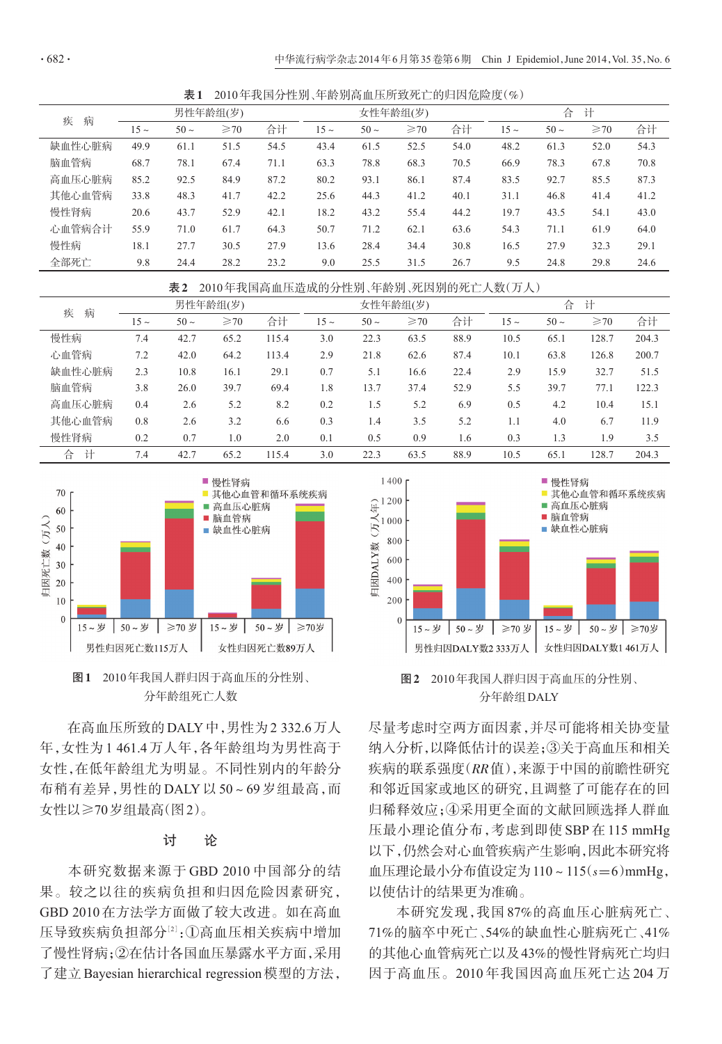表1 2010年我国分性别、年龄别高血压所致死亡的归因危险度(%)

| 病<br>疾 |           |       | 男性年龄组(岁)  |      | 女性年龄组(岁)  |           |           |      | 合<br>计    |           |                |      |
|--------|-----------|-------|-----------|------|-----------|-----------|-----------|------|-----------|-----------|----------------|------|
|        | $15 \sim$ | $50-$ | $\geq 70$ | 合计   | $15 \sim$ | $50 \sim$ | $\geq 70$ | 合计   | $15 \sim$ | $50 \sim$ | $\geqslant$ 70 | 合计   |
| 缺血性心脏病 | 49.9      | 61.1  | 51.5      | 54.5 | 43.4      | 61.5      | 52.5      | 54.0 | 48.2      | 61.3      | 52.0           | 54.3 |
| 脑血管病   | 68.7      | 78.1  | 67.4      | 71.1 | 63.3      | 78.8      | 68.3      | 70.5 | 66.9      | 78.3      | 67.8           | 70.8 |
| 高血压心脏病 | 85.2      | 92.5  | 84.9      | 87.2 | 80.2      | 93.1      | 86.1      | 87.4 | 83.5      | 92.7      | 85.5           | 87.3 |
| 其他心血管病 | 33.8      | 48.3  | 41.7      | 42.2 | 25.6      | 44.3      | 41.2      | 40.1 | 31.1      | 46.8      | 41.4           | 41.2 |
| 慢性肾病   | 20.6      | 43.7  | 52.9      | 42.1 | 18.2      | 43.2      | 55.4      | 44.2 | 19.7      | 43.5      | 54.1           | 43.0 |
| 心血管病合计 | 55.9      | 71.0  | 61.7      | 64.3 | 50.7      | 71.2      | 62.1      | 63.6 | 54.3      | 71.1      | 61.9           | 64.0 |
| 慢性病    | 18.1      | 27.7  | 30.5      | 27.9 | 13.6      | 28.4      | 34.4      | 30.8 | 16.5      | 27.9      | 32.3           | 29.1 |
| 全部死亡   | 9.8       | 24.4  | 28.2      | 23.2 | 9.0       | 25.5      | 31.5      | 26.7 | 9.5       | 24.8      | 29.8           | 24.6 |

表2 2010年我国高血压造成的分性别、年龄别、死因别的死亡人数(万人)

| 病<br>疾 | 男性年龄组(岁)  |           |           |       | 女性年龄组(岁)  |           |                |      | 合<br>计    |           |                |       |
|--------|-----------|-----------|-----------|-------|-----------|-----------|----------------|------|-----------|-----------|----------------|-------|
|        | $15 \sim$ | $50 \sim$ | $\geq 70$ | 合计    | $15 \sim$ | $50 \sim$ | $\geqslant$ 70 | 合计   | $15 \sim$ | $50 \sim$ | $\geqslant$ 70 | 合计    |
| 慢性病    | 7.4       | 42.7      | 65.2      | 115.4 | 3.0       | 22.3      | 63.5           | 88.9 | 10.5      | 65.1      | 128.7          | 204.3 |
| 心血管病   | 7.2       | 42.0      | 64.2      | 113.4 | 2.9       | 21.8      | 62.6           | 87.4 | 10.1      | 63.8      | 126.8          | 200.7 |
| 缺血性心脏病 | 2.3       | 10.8      | 16.1      | 29.1  | 0.7       | 5.1       | 16.6           | 22.4 | 2.9       | 15.9      | 32.7           | 51.5  |
| 脑血管病   | 3.8       | 26.0      | 39.7      | 69.4  | 1.8       | 13.7      | 37.4           | 52.9 | 5.5       | 39.7      | 77.1           | 122.3 |
| 高血压心脏病 | 0.4       | 2.6       | 5.2       | 8.2   | 0.2       | 1.5       | 5.2            | 6.9  | 0.5       | 4.2       | 10.4           | 15.1  |
| 其他心血管病 | 0.8       | 2.6       | 3.2       | 6.6   | 0.3       | 1.4       | 3.5            | 5.2  | 1.1       | 4.0       | 6.7            | 11.9  |
| 慢性肾病   | 0.2       | 0.7       | 1.0       | 2.0   | 0.1       | 0.5       | 0.9            | 1.6  | 0.3       | 1.3       | 1.9            | 3.5   |
| 计<br>습 | 7.4       | 42.7      | 65.2      | 115.4 | 3.0       | 22.3      | 63.5           | 88.9 | 10.5      | 65.1      | 128.7          | 204.3 |



图1 2010年我国人群归因于高血压的分性别、 分年龄组死亡人数

在高血压所致的DALY中,男性为2 332.6万人 年,女性为 1 461.4 万人年,各年龄组均为男性高于 女性,在低年龄组尤为明显。不同性别内的年龄分 布稍有差异,男性的 DALY 以 50~69 岁组最高,而 女性以≥70岁组最高(图2)。

# 讨 论

本研究数据来源于 GBD 2010 中国部分的结 果。较之以往的疾病负担和归因危险因素研究, GBD 2010在方法学方面做了较大改进。如在高血 压导致疾病负担部分[<sup>2</sup>] :①高血压相关疾病中增加 了慢性肾病;②在估计各国血压暴露水平方面,采用 了建立Bayesian hierarchical regression模型的方法,



图2 2010年我国人群归因于高血压的分性别、 分年龄组DALY

尽量考虑时空两方面因素,并尽可能将相关协变量 纳入分析,以降低估计的误差;③关于高血压和相关 疾病的联系强度(RR值),来源于中国的前瞻性研究 和邻近国家或地区的研究,且调整了可能存在的回 归稀释效应;④采用更全面的文献回顾选择人群血 压最小理论值分布,考虑到即使 SBP 在 115 mmHg 以下,仍然会对心血管疾病产生影响,因此本研究将 血压理论最小分布值设定为110~115(s=6)mmHg, 以使估计的结果更为准确。

本研究发现,我国 87%的高血压心脏病死亡、 71%的脑卒中死亡、54%的缺血性心脏病死亡、41% 的其他心血管病死亡以及43%的慢性肾病死亡均归 因于高血压。2010 年我国因高血压死亡达 204 万